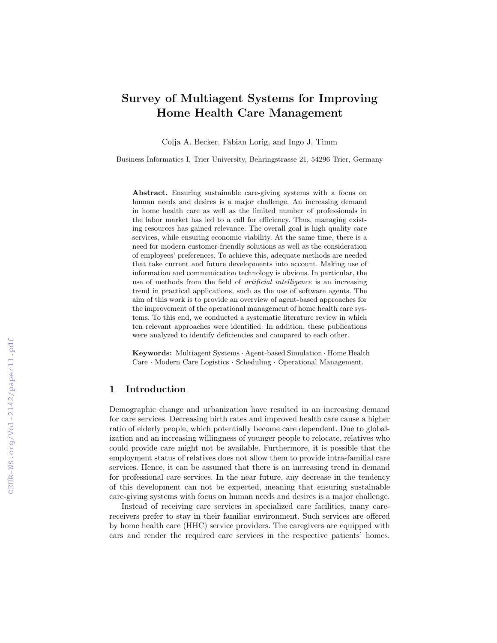# Survey of Multiagent Systems for Improving Home Health Care Management

Colja A. Becker, Fabian Lorig, and Ingo J. Timm

Business Informatics I, Trier University, Behringstrasse 21, 54296 Trier, Germany

Abstract. Ensuring sustainable care-giving systems with a focus on human needs and desires is a major challenge. An increasing demand in home health care as well as the limited number of professionals in the labor market has led to a call for efficiency. Thus, managing existing resources has gained relevance. The overall goal is high quality care services, while ensuring economic viability. At the same time, there is a need for modern customer-friendly solutions as well as the consideration of employees' preferences. To achieve this, adequate methods are needed that take current and future developments into account. Making use of information and communication technology is obvious. In particular, the use of methods from the field of artificial intelligence is an increasing trend in practical applications, such as the use of software agents. The aim of this work is to provide an overview of agent-based approaches for the improvement of the operational management of home health care systems. To this end, we conducted a systematic literature review in which ten relevant approaches were identified. In addition, these publications were analyzed to identify deficiencies and compared to each other.

Keywords: Multiagent Systems · Agent-based Simulation · Home Health Care · Modern Care Logistics · Scheduling · Operational Management.

# 1 Introduction

Demographic change and urbanization have resulted in an increasing demand for care services. Decreasing birth rates and improved health care cause a higher ratio of elderly people, which potentially become care dependent. Due to globalization and an increasing willingness of younger people to relocate, relatives who could provide care might not be available. Furthermore, it is possible that the employment status of relatives does not allow them to provide intra-familial care services. Hence, it can be assumed that there is an increasing trend in demand for professional care services. In the near future, any decrease in the tendency of this development can not be expected, meaning that ensuring sustainable care-giving systems with focus on human needs and desires is a major challenge.

Instead of receiving care services in specialized care facilities, many carereceivers prefer to stay in their familiar environment. Such services are offered by home health care (HHC) service providers. The caregivers are equipped with cars and render the required care services in the respective patients' homes.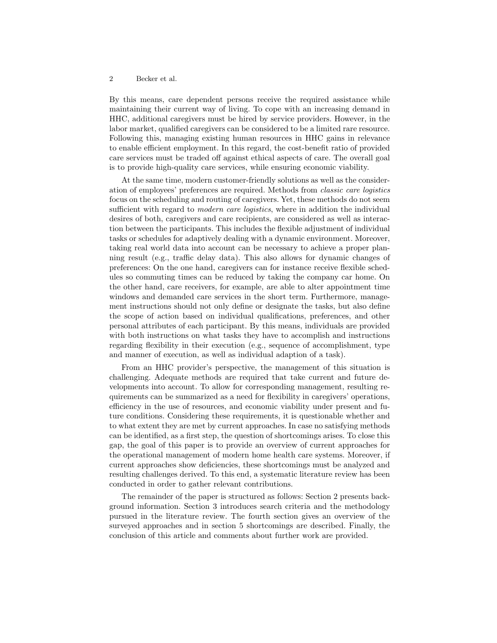By this means, care dependent persons receive the required assistance while maintaining their current way of living. To cope with an increasing demand in HHC, additional caregivers must be hired by service providers. However, in the labor market, qualified caregivers can be considered to be a limited rare resource. Following this, managing existing human resources in HHC gains in relevance to enable efficient employment. In this regard, the cost-benefit ratio of provided care services must be traded off against ethical aspects of care. The overall goal is to provide high-quality care services, while ensuring economic viability.

At the same time, modern customer-friendly solutions as well as the consideration of employees' preferences are required. Methods from classic care logistics focus on the scheduling and routing of caregivers. Yet, these methods do not seem sufficient with regard to *modern care logistics*, where in addition the individual desires of both, caregivers and care recipients, are considered as well as interaction between the participants. This includes the flexible adjustment of individual tasks or schedules for adaptively dealing with a dynamic environment. Moreover, taking real world data into account can be necessary to achieve a proper planning result (e.g., traffic delay data). This also allows for dynamic changes of preferences: On the one hand, caregivers can for instance receive flexible schedules so commuting times can be reduced by taking the company car home. On the other hand, care receivers, for example, are able to alter appointment time windows and demanded care services in the short term. Furthermore, management instructions should not only define or designate the tasks, but also define the scope of action based on individual qualifications, preferences, and other personal attributes of each participant. By this means, individuals are provided with both instructions on what tasks they have to accomplish and instructions regarding flexibility in their execution (e.g., sequence of accomplishment, type and manner of execution, as well as individual adaption of a task).

From an HHC provider's perspective, the management of this situation is challenging. Adequate methods are required that take current and future developments into account. To allow for corresponding management, resulting requirements can be summarized as a need for flexibility in caregivers' operations, efficiency in the use of resources, and economic viability under present and future conditions. Considering these requirements, it is questionable whether and to what extent they are met by current approaches. In case no satisfying methods can be identified, as a first step, the question of shortcomings arises. To close this gap, the goal of this paper is to provide an overview of current approaches for the operational management of modern home health care systems. Moreover, if current approaches show deficiencies, these shortcomings must be analyzed and resulting challenges derived. To this end, a systematic literature review has been conducted in order to gather relevant contributions.

The remainder of the paper is structured as follows: Section 2 presents background information. Section 3 introduces search criteria and the methodology pursued in the literature review. The fourth section gives an overview of the surveyed approaches and in section 5 shortcomings are described. Finally, the conclusion of this article and comments about further work are provided.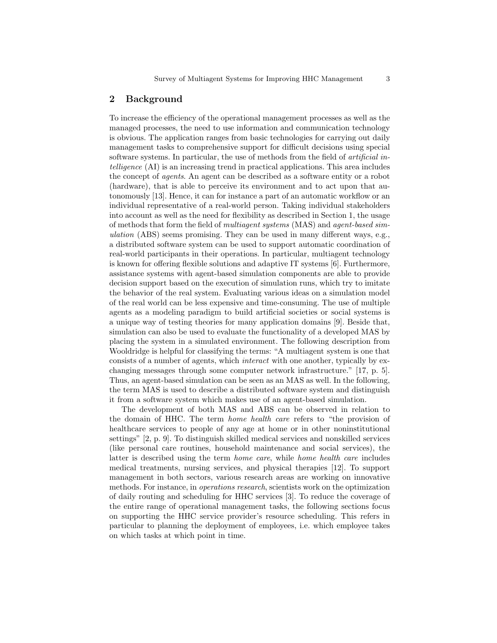## 2 Background

To increase the efficiency of the operational management processes as well as the managed processes, the need to use information and communication technology is obvious. The application ranges from basic technologies for carrying out daily management tasks to comprehensive support for difficult decisions using special software systems. In particular, the use of methods from the field of *artificial in*telligence (AI) is an increasing trend in practical applications. This area includes the concept of agents. An agent can be described as a software entity or a robot (hardware), that is able to perceive its environment and to act upon that autonomously [13]. Hence, it can for instance a part of an automatic workflow or an individual representative of a real-world person. Taking individual stakeholders into account as well as the need for flexibility as described in Section 1, the usage of methods that form the field of multiagent systems (MAS) and agent-based simulation (ABS) seems promising. They can be used in many different ways, e.g., a distributed software system can be used to support automatic coordination of real-world participants in their operations. In particular, multiagent technology is known for offering flexible solutions and adaptive IT systems [6]. Furthermore, assistance systems with agent-based simulation components are able to provide decision support based on the execution of simulation runs, which try to imitate the behavior of the real system. Evaluating various ideas on a simulation model of the real world can be less expensive and time-consuming. The use of multiple agents as a modeling paradigm to build artificial societies or social systems is a unique way of testing theories for many application domains [9]. Beside that, simulation can also be used to evaluate the functionality of a developed MAS by placing the system in a simulated environment. The following description from Wooldridge is helpful for classifying the terms: "A multiagent system is one that consists of a number of agents, which interact with one another, typically by exchanging messages through some computer network infrastructure." [17, p. 5]. Thus, an agent-based simulation can be seen as an MAS as well. In the following, the term MAS is used to describe a distributed software system and distinguish it from a software system which makes use of an agent-based simulation.

The development of both MAS and ABS can be observed in relation to the domain of HHC. The term home health care refers to "the provision of healthcare services to people of any age at home or in other noninstitutional settings" [2, p. 9]. To distinguish skilled medical services and nonskilled services (like personal care routines, household maintenance and social services), the latter is described using the term home care, while home health care includes medical treatments, nursing services, and physical therapies [12]. To support management in both sectors, various research areas are working on innovative methods. For instance, in operations research, scientists work on the optimization of daily routing and scheduling for HHC services [3]. To reduce the coverage of the entire range of operational management tasks, the following sections focus on supporting the HHC service provider's resource scheduling. This refers in particular to planning the deployment of employees, i.e. which employee takes on which tasks at which point in time.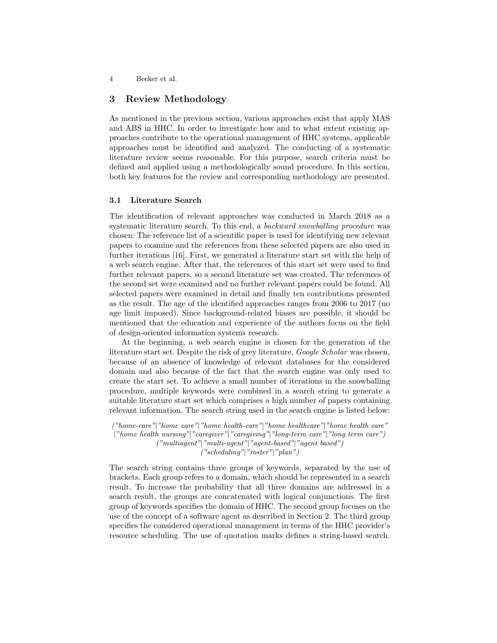## 3 Review Methodology

As mentioned in the previous section, various approaches exist that apply MAS and ABS in HHC. In order to investigate how and to what extent existing approaches contribute to the operational management of HHC systems, applicable approaches must be identified and analyzed. The conducting of a systematic literature review seems reasonable. For this purpose, search criteria must be defined and applied using a methodologically sound procedure. In this section, both key features for the review and corresponding methodology are presented.

### 3.1 Literature Search

The identification of relevant approaches was conducted in March 2018 as a systematic literature search. To this end, a backward snowballing procedure was chosen: The reference list of a scientific paper is used for identifying new relevant papers to examine and the references from these selected papers are also used in further iterations [16]. First, we generated a literature start set with the help of a web search engine. After that, the references of this start set were used to find further relevant papers, so a second literature set was created. The references of the second set were examined and no further relevant papers could be found. All selected papers were examined in detail and finally ten contributions presented as the result. The age of the identified approaches ranges from 2006 to 2017 (no age limit imposed). Since background-related biases are possible, it should be mentioned that the education and experience of the authors focus on the field of design-oriented information systems research.

At the beginning, a web search engine is chosen for the generation of the literature start set. Despite the risk of grey literature, Google Scholar was chosen, because of an absence of knowledge of relevant databases for the considered domain and also because of the fact that the search engine was only used to create the start set. To achieve a small number of iterations in the snowballing procedure, multiple keywords were combined in a search string to generate a suitable literature start set which comprises a high number of papers containing relevant information. The search string used in the search engine is listed below:

("home-care"|"home care"|"home health-care"|"home healthcare"|"home health care" |"home health nursing"|"caregiver"|"caregiving"|"long-term care"|"long term care")  $("multiagent"|"multi-agent"|"agent-based"|"agent-based")$ ("scheduling"|"roster"|"plan")

The search string contains three groups of keywords, separated by the use of brackets. Each group refers to a domain, which should be represented in a search result. To increase the probability that all three domains are addressed in a search result, the groups are concatenated with logical conjunctions. The first group of keywords specifies the domain of HHC. The second group focuses on the use of the concept of a software agent as described in Section 2. The third group specifies the considered operational management in terms of the HHC provider's resource scheduling. The use of quotation marks defines a string-based search.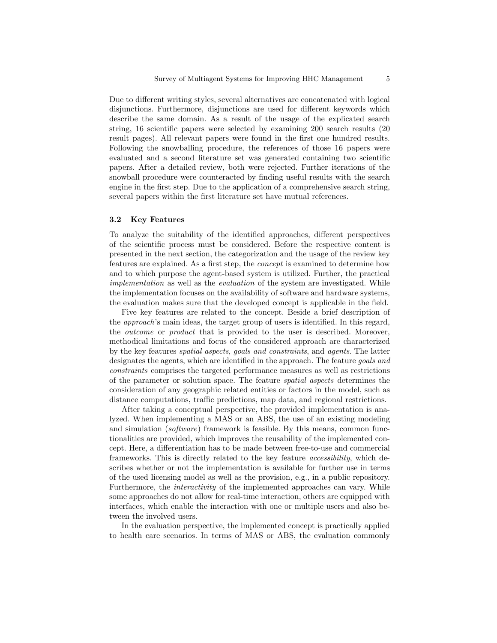Due to different writing styles, several alternatives are concatenated with logical disjunctions. Furthermore, disjunctions are used for different keywords which describe the same domain. As a result of the usage of the explicated search string, 16 scientific papers were selected by examining 200 search results (20 result pages). All relevant papers were found in the first one hundred results. Following the snowballing procedure, the references of those 16 papers were evaluated and a second literature set was generated containing two scientific papers. After a detailed review, both were rejected. Further iterations of the snowball procedure were counteracted by finding useful results with the search engine in the first step. Due to the application of a comprehensive search string, several papers within the first literature set have mutual references.

#### 3.2 Key Features

To analyze the suitability of the identified approaches, different perspectives of the scientific process must be considered. Before the respective content is presented in the next section, the categorization and the usage of the review key features are explained. As a first step, the concept is examined to determine how and to which purpose the agent-based system is utilized. Further, the practical implementation as well as the evaluation of the system are investigated. While the implementation focuses on the availability of software and hardware systems, the evaluation makes sure that the developed concept is applicable in the field.

Five key features are related to the concept. Beside a brief description of the approach's main ideas, the target group of users is identified. In this regard, the outcome or product that is provided to the user is described. Moreover, methodical limitations and focus of the considered approach are characterized by the key features spatial aspects, goals and constraints, and agents. The latter designates the agents, which are identified in the approach. The feature *goals and* constraints comprises the targeted performance measures as well as restrictions of the parameter or solution space. The feature spatial aspects determines the consideration of any geographic related entities or factors in the model, such as distance computations, traffic predictions, map data, and regional restrictions.

After taking a conceptual perspective, the provided implementation is analyzed. When implementing a MAS or an ABS, the use of an existing modeling and simulation (software) framework is feasible. By this means, common functionalities are provided, which improves the reusability of the implemented concept. Here, a differentiation has to be made between free-to-use and commercial frameworks. This is directly related to the key feature accessibility, which describes whether or not the implementation is available for further use in terms of the used licensing model as well as the provision, e.g., in a public repository. Furthermore, the interactivity of the implemented approaches can vary. While some approaches do not allow for real-time interaction, others are equipped with interfaces, which enable the interaction with one or multiple users and also between the involved users.

In the evaluation perspective, the implemented concept is practically applied to health care scenarios. In terms of MAS or ABS, the evaluation commonly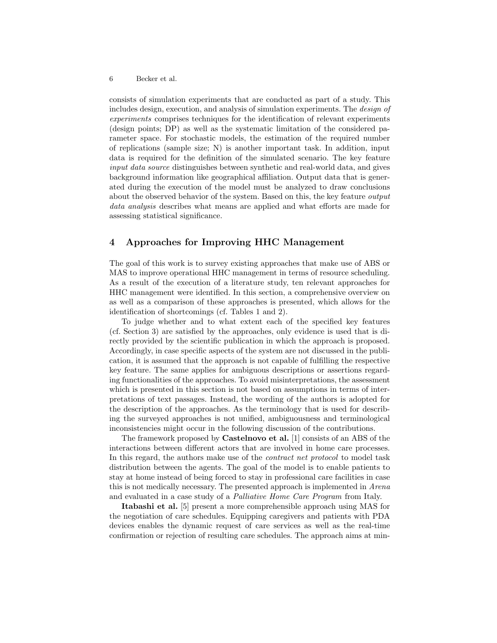consists of simulation experiments that are conducted as part of a study. This includes design, execution, and analysis of simulation experiments. The design of experiments comprises techniques for the identification of relevant experiments (design points; DP) as well as the systematic limitation of the considered parameter space. For stochastic models, the estimation of the required number of replications (sample size; N) is another important task. In addition, input data is required for the definition of the simulated scenario. The key feature input data source distinguishes between synthetic and real-world data, and gives background information like geographical affiliation. Output data that is generated during the execution of the model must be analyzed to draw conclusions about the observed behavior of the system. Based on this, the key feature output data analysis describes what means are applied and what efforts are made for assessing statistical significance.

## 4 Approaches for Improving HHC Management

The goal of this work is to survey existing approaches that make use of ABS or MAS to improve operational HHC management in terms of resource scheduling. As a result of the execution of a literature study, ten relevant approaches for HHC management were identified. In this section, a comprehensive overview on as well as a comparison of these approaches is presented, which allows for the identification of shortcomings (cf. Tables 1 and 2).

To judge whether and to what extent each of the specified key features (cf. Section 3) are satisfied by the approaches, only evidence is used that is directly provided by the scientific publication in which the approach is proposed. Accordingly, in case specific aspects of the system are not discussed in the publication, it is assumed that the approach is not capable of fulfilling the respective key feature. The same applies for ambiguous descriptions or assertions regarding functionalities of the approaches. To avoid misinterpretations, the assessment which is presented in this section is not based on assumptions in terms of interpretations of text passages. Instead, the wording of the authors is adopted for the description of the approaches. As the terminology that is used for describing the surveyed approaches is not unified, ambiguousness and terminological inconsistencies might occur in the following discussion of the contributions.

The framework proposed by Castelnovo et al. [1] consists of an ABS of the interactions between different actors that are involved in home care processes. In this regard, the authors make use of the *contract net protocol* to model task distribution between the agents. The goal of the model is to enable patients to stay at home instead of being forced to stay in professional care facilities in case this is not medically necessary. The presented approach is implemented in Arena and evaluated in a case study of a Palliative Home Care Program from Italy.

Itabashi et al. [5] present a more comprehensible approach using MAS for the negotiation of care schedules. Equipping caregivers and patients with PDA devices enables the dynamic request of care services as well as the real-time confirmation or rejection of resulting care schedules. The approach aims at min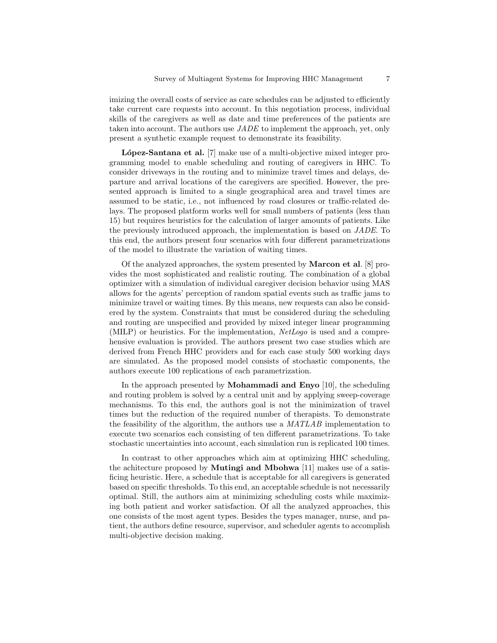imizing the overall costs of service as care schedules can be adjusted to efficiently take current care requests into account. In this negotiation process, individual skills of the caregivers as well as date and time preferences of the patients are taken into account. The authors use JADE to implement the approach, yet, only present a synthetic example request to demonstrate its feasibility.

López-Santana et al. [7] make use of a multi-objective mixed integer programming model to enable scheduling and routing of caregivers in HHC. To consider driveways in the routing and to minimize travel times and delays, departure and arrival locations of the caregivers are specified. However, the presented approach is limited to a single geographical area and travel times are assumed to be static, i.e., not influenced by road closures or traffic-related delays. The proposed platform works well for small numbers of patients (less than 15) but requires heuristics for the calculation of larger amounts of patients. Like the previously introduced approach, the implementation is based on JADE. To this end, the authors present four scenarios with four different parametrizations of the model to illustrate the variation of waiting times.

Of the analyzed approaches, the system presented by Marcon et al. [8] provides the most sophisticated and realistic routing. The combination of a global optimizer with a simulation of individual caregiver decision behavior using MAS allows for the agents' perception of random spatial events such as traffic jams to minimize travel or waiting times. By this means, new requests can also be considered by the system. Constraints that must be considered during the scheduling and routing are unspecified and provided by mixed integer linear programming (MILP) or heuristics. For the implementation, NetLogo is used and a comprehensive evaluation is provided. The authors present two case studies which are derived from French HHC providers and for each case study 500 working days are simulated. As the proposed model consists of stochastic components, the authors execute 100 replications of each parametrization.

In the approach presented by **Mohammadi** and Enyo [10], the scheduling and routing problem is solved by a central unit and by applying sweep-coverage mechanisms. To this end, the authors goal is not the minimization of travel times but the reduction of the required number of therapists. To demonstrate the feasibility of the algorithm, the authors use a MATLAB implementation to execute two scenarios each consisting of ten different parametrizations. To take stochastic uncertainties into account, each simulation run is replicated 100 times.

In contrast to other approaches which aim at optimizing HHC scheduling, the achitecture proposed by Mutingi and Mbohwa [11] makes use of a satisficing heuristic. Here, a schedule that is acceptable for all caregivers is generated based on specific thresholds. To this end, an acceptable schedule is not necessarily optimal. Still, the authors aim at minimizing scheduling costs while maximizing both patient and worker satisfaction. Of all the analyzed approaches, this one consists of the most agent types. Besides the types manager, nurse, and patient, the authors define resource, supervisor, and scheduler agents to accomplish multi-objective decision making.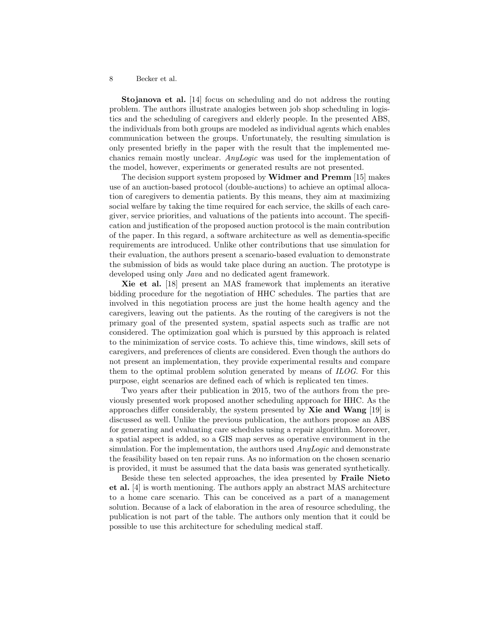Stojanova et al. [14] focus on scheduling and do not address the routing problem. The authors illustrate analogies between job shop scheduling in logistics and the scheduling of caregivers and elderly people. In the presented ABS, the individuals from both groups are modeled as individual agents which enables communication between the groups. Unfortunately, the resulting simulation is only presented briefly in the paper with the result that the implemented mechanics remain mostly unclear. AnyLogic was used for the implementation of the model, however, experiments or generated results are not presented.

The decision support system proposed by Widmer and Premm [15] makes use of an auction-based protocol (double-auctions) to achieve an optimal allocation of caregivers to dementia patients. By this means, they aim at maximizing social welfare by taking the time required for each service, the skills of each caregiver, service priorities, and valuations of the patients into account. The specification and justification of the proposed auction protocol is the main contribution of the paper. In this regard, a software architecture as well as dementia-specific requirements are introduced. Unlike other contributions that use simulation for their evaluation, the authors present a scenario-based evaluation to demonstrate the submission of bids as would take place during an auction. The prototype is developed using only Java and no dedicated agent framework.

Xie et al. [18] present an MAS framework that implements an iterative bidding procedure for the negotiation of HHC schedules. The parties that are involved in this negotiation process are just the home health agency and the caregivers, leaving out the patients. As the routing of the caregivers is not the primary goal of the presented system, spatial aspects such as traffic are not considered. The optimization goal which is pursued by this approach is related to the minimization of service costs. To achieve this, time windows, skill sets of caregivers, and preferences of clients are considered. Even though the authors do not present an implementation, they provide experimental results and compare them to the optimal problem solution generated by means of ILOG. For this purpose, eight scenarios are defined each of which is replicated ten times.

Two years after their publication in 2015, two of the authors from the previously presented work proposed another scheduling approach for HHC. As the approaches differ considerably, the system presented by Xie and Wang [19] is discussed as well. Unlike the previous publication, the authors propose an ABS for generating and evaluating care schedules using a repair algorithm. Moreover, a spatial aspect is added, so a GIS map serves as operative environment in the simulation. For the implementation, the authors used  $Any Logic$  and demonstrate the feasibility based on ten repair runs. As no information on the chosen scenario is provided, it must be assumed that the data basis was generated synthetically.

Beside these ten selected approaches, the idea presented by Fraile Nieto et al. [4] is worth mentioning. The authors apply an abstract MAS architecture to a home care scenario. This can be conceived as a part of a management solution. Because of a lack of elaboration in the area of resource scheduling, the publication is not part of the table. The authors only mention that it could be possible to use this architecture for scheduling medical staff.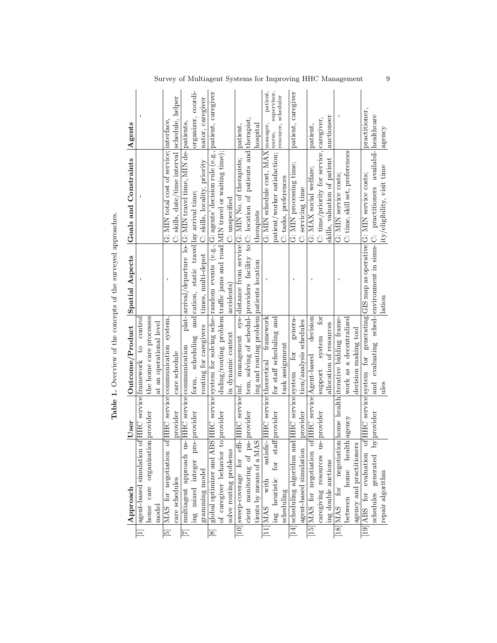|                | Approach                                                                                                                                                                                                                                                                    | User                       | Outcome/Product Spatial Aspects                                                 |            | Goals and Constraints                                                                                                                   | Agents                             |
|----------------|-----------------------------------------------------------------------------------------------------------------------------------------------------------------------------------------------------------------------------------------------------------------------------|----------------------------|---------------------------------------------------------------------------------|------------|-----------------------------------------------------------------------------------------------------------------------------------------|------------------------------------|
|                | agent-based simulation                                                                                                                                                                                                                                                      |                            | of HHC service framework to control                                             |            |                                                                                                                                         |                                    |
|                | home care organization provider                                                                                                                                                                                                                                             |                            | the home care processes                                                         |            |                                                                                                                                         |                                    |
|                | model                                                                                                                                                                                                                                                                       |                            | at an operational level                                                         |            |                                                                                                                                         |                                    |
| $\overline{5}$ | MAS for negotiation                                                                                                                                                                                                                                                         |                            | of HHC service communication system,                                            |            | G: MIN total cost of service; interface,                                                                                                |                                    |
|                | care schedules                                                                                                                                                                                                                                                              | provider                   | care schedule                                                                   |            | C: skills, date/time interval schedule, helper                                                                                          |                                    |
|                | $[7] \begin{tabular}{ l l } \hline multiagent approach us-HHC sering mixed integer pro-provider \end{tabular}$                                                                                                                                                              |                            | us-HHC service communication                                                    |            | plat- arrival/departure lo- G: MIN travel time, MIN de- patients,                                                                       |                                    |
|                |                                                                                                                                                                                                                                                                             |                            | form, scheduling and cation, static travel lay arrival time;                    |            |                                                                                                                                         | organizer, coordi-                 |
|                | gramming model                                                                                                                                                                                                                                                              |                            |                                                                                 |            | routing for caregivers times, multi-depot  C: skills, locality, priority                                                                | nator, caregiver                   |
| $\infty$       |                                                                                                                                                                                                                                                                             |                            |                                                                                 |            | global optimizer and ABS HHC service system for solving sche- trandom events (e.g., G: agents' decision rule (e.g., lpatient, caregiver |                                    |
|                | of caregiver behavior                                                                                                                                                                                                                                                       | to provider                |                                                                                 |            | duling/routing problem traffic jams and road MIN travel or waiting time);                                                               |                                    |
|                | solve routing problems                                                                                                                                                                                                                                                      |                            | in dynamic context                                                              | accidents) | C: unspecified                                                                                                                          |                                    |
|                | [10] sweep-coverage for effi-HHC service inf. management sys-distance from service G: MIN No. of therapists;                                                                                                                                                                |                            |                                                                                 |            |                                                                                                                                         | patient,                           |
|                | cient monitoring of pa-provider                                                                                                                                                                                                                                             |                            |                                                                                 |            | tem, solving of schedul- providers facility to C: location of patients and therapist,                                                   |                                    |
|                | $\begin{tabular}{ l l } \hline \text{tients by means of a MAS} & & \\ \hline \text{11] MAS & with & \text{satisfic-HHC service theoretical framework} \\ \hline \text{ing heuristic} & \text{for staff provider} & \text{for staff scheduling and} \\ \hline \end{tabular}$ |                            | ing and routing problem patients location                                       |            | therapists                                                                                                                              | hospital                           |
|                |                                                                                                                                                                                                                                                                             |                            |                                                                                 |            | G: MIN schedule cost, MAX manager,                                                                                                      | patient,                           |
|                |                                                                                                                                                                                                                                                                             |                            |                                                                                 |            | $\rm patient/worker$ satisfaction; $\vert$ nurse,                                                                                       | supervisor,<br>resource, scheduler |
|                | scheduling                                                                                                                                                                                                                                                                  |                            | task assignment                                                                 |            | C: tasks, preferences                                                                                                                   |                                    |
|                | [14] scheduling algorithm and HHC service system                                                                                                                                                                                                                            |                            | genera-<br>$\overline{\text{tot}}$                                              |            | G: MIN processing time;                                                                                                                 | patient, caregiver                 |
|                | agent-based simulation                                                                                                                                                                                                                                                      | provider                   | tion/analysis schedules                                                         |            | C: servicing time                                                                                                                       |                                    |
|                | [15] MAS for negotiation                                                                                                                                                                                                                                                    | of HHC service Agent-based | decision                                                                        |            | G: MAX social welfare;                                                                                                                  | patient,                           |
|                | caregiving resources                                                                                                                                                                                                                                                        | 18- provider               | system for<br>support                                                           |            | C: time/priority for service, caregiver,                                                                                                |                                    |
|                | $\begin{tabular}{ l l } \hline & ing double auctions & allocation of resources \\ \hline [18] MAS & for & negotiation home health iterative bidding frame-\\ \hline \end{tabular}$                                                                                          |                            |                                                                                 |            | skills, valuation of patient                                                                                                            | auctioneer                         |
|                |                                                                                                                                                                                                                                                                             |                            |                                                                                 |            | G: MIN service costs;                                                                                                                   |                                    |
|                | between home health agency                                                                                                                                                                                                                                                  |                            | work as a decentralized                                                         |            | C: time, skill set, preferences                                                                                                         |                                    |
|                | agency and practitioners                                                                                                                                                                                                                                                    |                            | decision making tool                                                            |            |                                                                                                                                         |                                    |
|                | [19] ABS for evaluation                                                                                                                                                                                                                                                     |                            | of HHC service system for generating GIS map as operative G: MIN service costs; |            |                                                                                                                                         | practitioner,                      |
|                | schedules generated                                                                                                                                                                                                                                                         | by provider                |                                                                                 |            | and evaluating sched-environment in simu-C: practitioners availabil-healthcare                                                          |                                    |
|                | repair algorithm                                                                                                                                                                                                                                                            |                            | ules                                                                            | lation     | ity/eligibility, visit time                                                                                                             | agency                             |
|                |                                                                                                                                                                                                                                                                             |                            |                                                                                 |            |                                                                                                                                         |                                    |

Table 1. Overview of the concepts of the surveyed approaches. Table 1. Overview of the concepts of the surveyed approaches.

Survey of Multiagent Systems for Improving HHC Management 9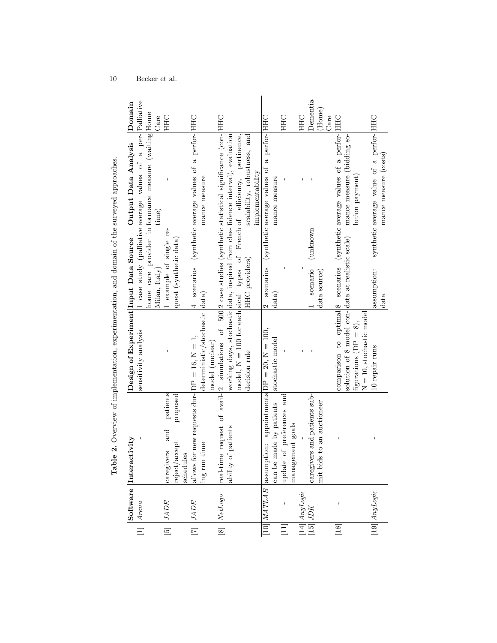|        | Software Intera         | ctivity                                               | Design of Experiment Input Data Source                   |                                            | Output Data Analysis                                                               | Domain                |
|--------|-------------------------|-------------------------------------------------------|----------------------------------------------------------|--------------------------------------------|------------------------------------------------------------------------------------|-----------------------|
|        | Arena                   |                                                       | sensitivity analysis                                     | 1 case study (palliative average values of |                                                                                    | a per-<br> Palliative |
|        |                         |                                                       |                                                          | Milan, Italy)                              | home care provider in formance measure (waiting Home<br>time)                      | Care                  |
|        | JADE                    | patients<br>and<br>caregivers                         |                                                          | 1 example of single re-                    |                                                                                    | HHC                   |
|        |                         | proposed<br>accept<br>schedules<br>reject/            |                                                          | quest (synthetic data)                     |                                                                                    |                       |
|        | JADE                    | for new requests dur- $DP = 16$ , $N = 1$<br>allows i |                                                          | scenarios                                  | (synthetic average values of a perfor- HHC                                         |                       |
|        |                         | ing run time                                          | deterministic/stochastic data)<br>model (unclear)        |                                            | mance measure                                                                      |                       |
|        | NetLogo                 | real-time request of avail- 2 simulations of          |                                                          |                                            | $500 2$ case studies (synthetic statistical significance (con- $\mid$ HHC          |                       |
|        |                         | of patients<br>ability                                |                                                          |                                            | working days, stochastic data, inspired from clas- fidence interval), evaluation   |                       |
|        |                         |                                                       |                                                          |                                            | model, $N = 100$ for each sical types of French of efficiency, pertinence,         |                       |
|        |                         |                                                       | decision rule                                            | HHC providers)                             | scalability, robustness, and                                                       |                       |
|        |                         |                                                       |                                                          |                                            | implementability                                                                   |                       |
| $[10]$ | MATLAB                  | assumption:                                           | appointments $\text{DP} = 20$ , $\text{N} = 100$ ,       | scenarios<br>$\overline{\mathcal{C}}$      | (synthetic average values of a perfor- HHC                                         |                       |
|        |                         | made by patients<br>can be                            | stochastic model                                         | data)                                      | mance measure                                                                      |                       |
|        | $\mathbf{I}$            | of preferences and<br>update                          |                                                          |                                            |                                                                                    | HHC                   |
|        |                         | management goals                                      |                                                          |                                            |                                                                                    |                       |
|        | AnyLogic                |                                                       | $\blacksquare$                                           |                                            | $\overline{\phantom{a}}$                                                           | HHC                   |
|        | JDК                     | caregivers and patients sub-                          |                                                          | (unknown)<br>scenario                      |                                                                                    | Dementia              |
|        |                         | mit bids to an auctioneer                             |                                                          | data source)                               |                                                                                    | (Home)<br>Care        |
|        | J                       |                                                       |                                                          |                                            | comparison to optimal $8$ scenarios (synthetic average values of a perfor- $ HHC $ |                       |
|        |                         |                                                       | solution of 8 model con-data at realistic scale)         |                                            | mance measure (bidding so-                                                         |                       |
|        |                         |                                                       | $N = 10$ , stochastic model<br>figurations ( $DP = 8$ ), |                                            | lution payment)                                                                    |                       |
|        | AnyLogic<br>$\boxed{9}$ |                                                       | 10 repair runs                                           | assumption:                                | synthetic average value of a perfor- HHC                                           |                       |
|        |                         |                                                       |                                                          | data                                       | mance measure (costs)                                                              |                       |

Table 2. Overview of implementation, experimentation, and domain of the surveyed approaches. Table 2. Overview of implementation, experimentation, and domain of the surveyed approaches.

10 Becker et al.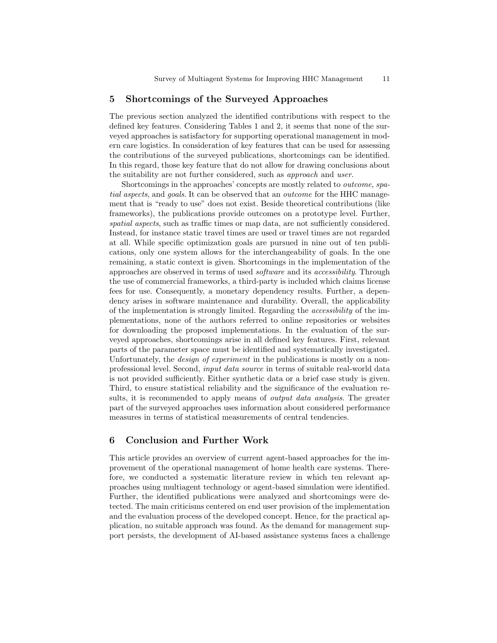# 5 Shortcomings of the Surveyed Approaches

The previous section analyzed the identified contributions with respect to the defined key features. Considering Tables 1 and 2, it seems that none of the surveyed approaches is satisfactory for supporting operational management in modern care logistics. In consideration of key features that can be used for assessing the contributions of the surveyed publications, shortcomings can be identified. In this regard, those key feature that do not allow for drawing conclusions about the suitability are not further considered, such as approach and user.

Shortcomings in the approaches' concepts are mostly related to outcome, spatial aspects, and goals. It can be observed that an outcome for the HHC management that is "ready to use" does not exist. Beside theoretical contributions (like frameworks), the publications provide outcomes on a prototype level. Further, spatial aspects, such as traffic times or map data, are not sufficiently considered. Instead, for instance static travel times are used or travel times are not regarded at all. While specific optimization goals are pursued in nine out of ten publications, only one system allows for the interchangeability of goals. In the one remaining, a static context is given. Shortcomings in the implementation of the approaches are observed in terms of used software and its accessibility. Through the use of commercial frameworks, a third-party is included which claims license fees for use. Consequently, a monetary dependency results. Further, a dependency arises in software maintenance and durability. Overall, the applicability of the implementation is strongly limited. Regarding the accessibility of the implementations, none of the authors referred to online repositories or websites for downloading the proposed implementations. In the evaluation of the surveyed approaches, shortcomings arise in all defined key features. First, relevant parts of the parameter space must be identified and systematically investigated. Unfortunately, the *design of experiment* in the publications is mostly on a nonprofessional level. Second, input data source in terms of suitable real-world data is not provided sufficiently. Either synthetic data or a brief case study is given. Third, to ensure statistical reliability and the significance of the evaluation results, it is recommended to apply means of *output data analysis*. The greater part of the surveyed approaches uses information about considered performance measures in terms of statistical measurements of central tendencies.

## 6 Conclusion and Further Work

This article provides an overview of current agent-based approaches for the improvement of the operational management of home health care systems. Therefore, we conducted a systematic literature review in which ten relevant approaches using multiagent technology or agent-based simulation were identified. Further, the identified publications were analyzed and shortcomings were detected. The main criticisms centered on end user provision of the implementation and the evaluation process of the developed concept. Hence, for the practical application, no suitable approach was found. As the demand for management support persists, the development of AI-based assistance systems faces a challenge